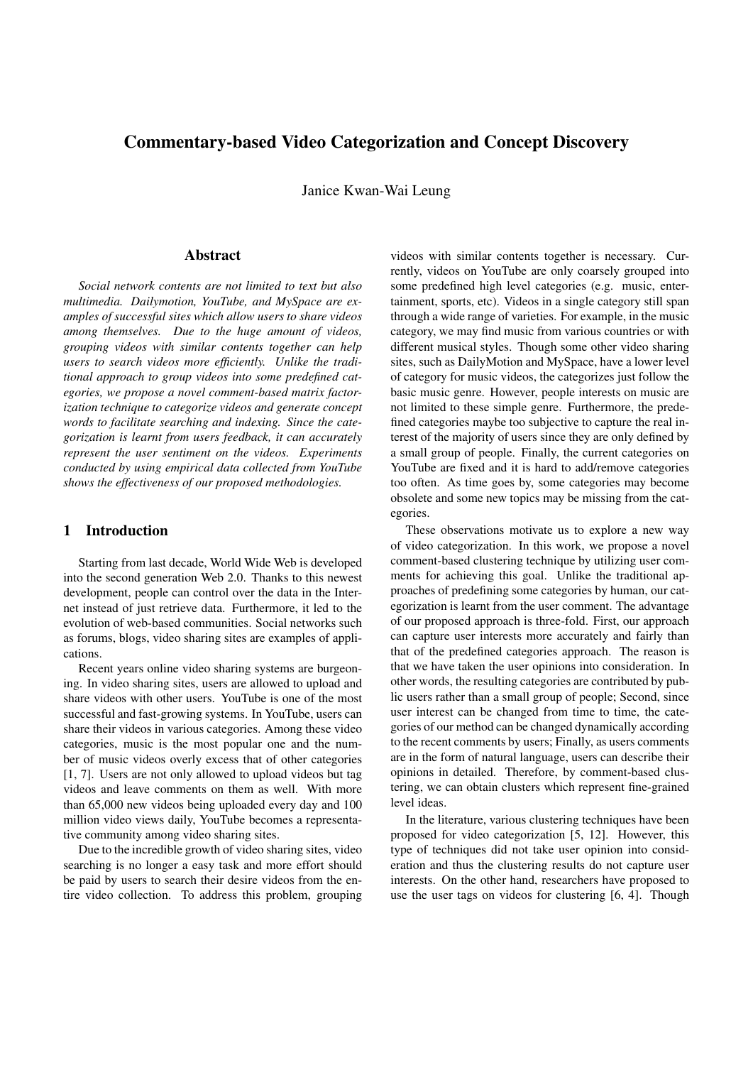# Commentary-based Video Categorization and Concept Discovery

Janice Kwan-Wai Leung

#### Abstract

*Social network contents are not limited to text but also multimedia. Dailymotion, YouTube, and MySpace are examples of successful sites which allow users to share videos among themselves. Due to the huge amount of videos, grouping videos with similar contents together can help users to search videos more efficiently. Unlike the traditional approach to group videos into some predefined categories, we propose a novel comment-based matrix factorization technique to categorize videos and generate concept words to facilitate searching and indexing. Since the categorization is learnt from users feedback, it can accurately represent the user sentiment on the videos. Experiments conducted by using empirical data collected from YouTube shows the effectiveness of our proposed methodologies.*

### 1 Introduction

Starting from last decade, World Wide Web is developed into the second generation Web 2.0. Thanks to this newest development, people can control over the data in the Internet instead of just retrieve data. Furthermore, it led to the evolution of web-based communities. Social networks such as forums, blogs, video sharing sites are examples of applications.

Recent years online video sharing systems are burgeoning. In video sharing sites, users are allowed to upload and share videos with other users. YouTube is one of the most successful and fast-growing systems. In YouTube, users can share their videos in various categories. Among these video categories, music is the most popular one and the number of music videos overly excess that of other categories [1, 7]. Users are not only allowed to upload videos but tag videos and leave comments on them as well. With more than 65,000 new videos being uploaded every day and 100 million video views daily, YouTube becomes a representative community among video sharing sites.

Due to the incredible growth of video sharing sites, video searching is no longer a easy task and more effort should be paid by users to search their desire videos from the entire video collection. To address this problem, grouping videos with similar contents together is necessary. Currently, videos on YouTube are only coarsely grouped into some predefined high level categories (e.g. music, entertainment, sports, etc). Videos in a single category still span through a wide range of varieties. For example, in the music category, we may find music from various countries or with different musical styles. Though some other video sharing sites, such as DailyMotion and MySpace, have a lower level of category for music videos, the categorizes just follow the basic music genre. However, people interests on music are not limited to these simple genre. Furthermore, the predefined categories maybe too subjective to capture the real interest of the majority of users since they are only defined by a small group of people. Finally, the current categories on YouTube are fixed and it is hard to add/remove categories too often. As time goes by, some categories may become obsolete and some new topics may be missing from the categories.

These observations motivate us to explore a new way of video categorization. In this work, we propose a novel comment-based clustering technique by utilizing user comments for achieving this goal. Unlike the traditional approaches of predefining some categories by human, our categorization is learnt from the user comment. The advantage of our proposed approach is three-fold. First, our approach can capture user interests more accurately and fairly than that of the predefined categories approach. The reason is that we have taken the user opinions into consideration. In other words, the resulting categories are contributed by public users rather than a small group of people; Second, since user interest can be changed from time to time, the categories of our method can be changed dynamically according to the recent comments by users; Finally, as users comments are in the form of natural language, users can describe their opinions in detailed. Therefore, by comment-based clustering, we can obtain clusters which represent fine-grained level ideas.

In the literature, various clustering techniques have been proposed for video categorization [5, 12]. However, this type of techniques did not take user opinion into consideration and thus the clustering results do not capture user interests. On the other hand, researchers have proposed to use the user tags on videos for clustering [6, 4]. Though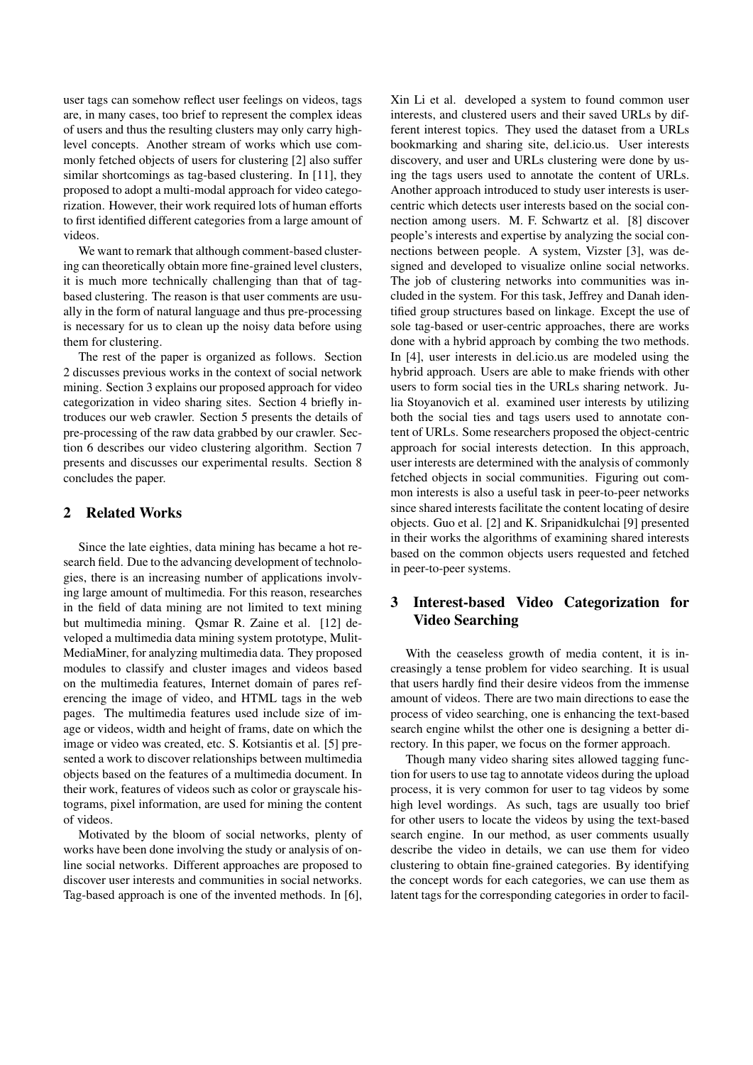user tags can somehow reflect user feelings on videos, tags are, in many cases, too brief to represent the complex ideas of users and thus the resulting clusters may only carry highlevel concepts. Another stream of works which use commonly fetched objects of users for clustering [2] also suffer similar shortcomings as tag-based clustering. In [11], they proposed to adopt a multi-modal approach for video categorization. However, their work required lots of human efforts to first identified different categories from a large amount of videos.

We want to remark that although comment-based clustering can theoretically obtain more fine-grained level clusters, it is much more technically challenging than that of tagbased clustering. The reason is that user comments are usually in the form of natural language and thus pre-processing is necessary for us to clean up the noisy data before using them for clustering.

The rest of the paper is organized as follows. Section 2 discusses previous works in the context of social network mining. Section 3 explains our proposed approach for video categorization in video sharing sites. Section 4 briefly introduces our web crawler. Section 5 presents the details of pre-processing of the raw data grabbed by our crawler. Section 6 describes our video clustering algorithm. Section 7 presents and discusses our experimental results. Section 8 concludes the paper.

## 2 Related Works

Since the late eighties, data mining has became a hot research field. Due to the advancing development of technologies, there is an increasing number of applications involving large amount of multimedia. For this reason, researches in the field of data mining are not limited to text mining but multimedia mining. Qsmar R. Zaine et al. [12] developed a multimedia data mining system prototype, Mulit-MediaMiner, for analyzing multimedia data. They proposed modules to classify and cluster images and videos based on the multimedia features, Internet domain of pares referencing the image of video, and HTML tags in the web pages. The multimedia features used include size of image or videos, width and height of frams, date on which the image or video was created, etc. S. Kotsiantis et al. [5] presented a work to discover relationships between multimedia objects based on the features of a multimedia document. In their work, features of videos such as color or grayscale histograms, pixel information, are used for mining the content of videos.

Motivated by the bloom of social networks, plenty of works have been done involving the study or analysis of online social networks. Different approaches are proposed to discover user interests and communities in social networks. Tag-based approach is one of the invented methods. In [6],

Xin Li et al. developed a system to found common user interests, and clustered users and their saved URLs by different interest topics. They used the dataset from a URLs bookmarking and sharing site, del.icio.us. User interests discovery, and user and URLs clustering were done by using the tags users used to annotate the content of URLs. Another approach introduced to study user interests is usercentric which detects user interests based on the social connection among users. M. F. Schwartz et al. [8] discover people's interests and expertise by analyzing the social connections between people. A system, Vizster [3], was designed and developed to visualize online social networks. The job of clustering networks into communities was included in the system. For this task, Jeffrey and Danah identified group structures based on linkage. Except the use of sole tag-based or user-centric approaches, there are works done with a hybrid approach by combing the two methods. In [4], user interests in del.icio.us are modeled using the hybrid approach. Users are able to make friends with other users to form social ties in the URLs sharing network. Julia Stoyanovich et al. examined user interests by utilizing both the social ties and tags users used to annotate content of URLs. Some researchers proposed the object-centric approach for social interests detection. In this approach, user interests are determined with the analysis of commonly fetched objects in social communities. Figuring out common interests is also a useful task in peer-to-peer networks since shared interests facilitate the content locating of desire objects. Guo et al. [2] and K. Sripanidkulchai [9] presented in their works the algorithms of examining shared interests based on the common objects users requested and fetched in peer-to-peer systems.

# 3 Interest-based Video Categorization for Video Searching

With the ceaseless growth of media content, it is increasingly a tense problem for video searching. It is usual that users hardly find their desire videos from the immense amount of videos. There are two main directions to ease the process of video searching, one is enhancing the text-based search engine whilst the other one is designing a better directory. In this paper, we focus on the former approach.

Though many video sharing sites allowed tagging function for users to use tag to annotate videos during the upload process, it is very common for user to tag videos by some high level wordings. As such, tags are usually too brief for other users to locate the videos by using the text-based search engine. In our method, as user comments usually describe the video in details, we can use them for video clustering to obtain fine-grained categories. By identifying the concept words for each categories, we can use them as latent tags for the corresponding categories in order to facil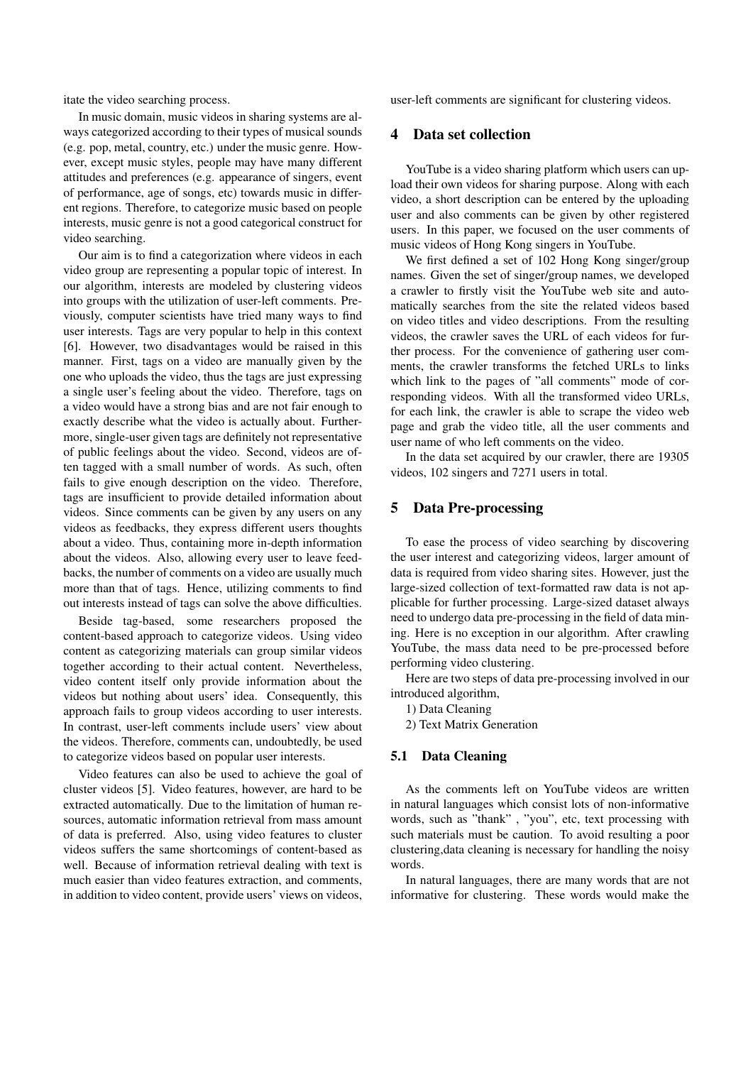itate the video searching process.

In music domain, music videos in sharing systems are always categorized according to their types of musical sounds (e.g. pop, metal, country, etc.) under the music genre. However, except music styles, people may have many different attitudes and preferences (e.g. appearance of singers, event of performance, age of songs, etc) towards music in different regions. Therefore, to categorize music based on people interests, music genre is not a good categorical construct for video searching.

Our aim is to find a categorization where videos in each video group are representing a popular topic of interest. In our algorithm, interests are modeled by clustering videos into groups with the utilization of user-left comments. Previously, computer scientists have tried many ways to find user interests. Tags are very popular to help in this context [6]. However, two disadvantages would be raised in this manner. First, tags on a video are manually given by the one who uploads the video, thus the tags are just expressing a single user's feeling about the video. Therefore, tags on a video would have a strong bias and are not fair enough to exactly describe what the video is actually about. Furthermore, single-user given tags are definitely not representative of public feelings about the video. Second, videos are often tagged with a small number of words. As such, often fails to give enough description on the video. Therefore, tags are insufficient to provide detailed information about videos. Since comments can be given by any users on any videos as feedbacks, they express different users thoughts about a video. Thus, containing more in-depth information about the videos. Also, allowing every user to leave feedbacks, the number of comments on a video are usually much more than that of tags. Hence, utilizing comments to find out interests instead of tags can solve the above difficulties.

Beside tag-based, some researchers proposed the content-based approach to categorize videos. Using video content as categorizing materials can group similar videos together according to their actual content. Nevertheless, video content itself only provide information about the videos but nothing about users' idea. Consequently, this approach fails to group videos according to user interests. In contrast, user-left comments include users' view about the videos. Therefore, comments can, undoubtedly, be used to categorize videos based on popular user interests.

Video features can also be used to achieve the goal of cluster videos [5]. Video features, however, are hard to be extracted automatically. Due to the limitation of human resources, automatic information retrieval from mass amount of data is preferred. Also, using video features to cluster videos suffers the same shortcomings of content-based as well. Because of information retrieval dealing with text is much easier than video features extraction, and comments, in addition to video content, provide users' views on videos,

user-left comments are significant for clustering videos.

## 4 Data set collection

YouTube is a video sharing platform which users can upload their own videos for sharing purpose. Along with each video, a short description can be entered by the uploading user and also comments can be given by other registered users. In this paper, we focused on the user comments of music videos of Hong Kong singers in YouTube.

We first defined a set of 102 Hong Kong singer/group names. Given the set of singer/group names, we developed a crawler to firstly visit the YouTube web site and automatically searches from the site the related videos based on video titles and video descriptions. From the resulting videos, the crawler saves the URL of each videos for further process. For the convenience of gathering user comments, the crawler transforms the fetched URLs to links which link to the pages of "all comments" mode of corresponding videos. With all the transformed video URLs, for each link, the crawler is able to scrape the video web page and grab the video title, all the user comments and user name of who left comments on the video.

In the data set acquired by our crawler, there are 19305 videos, 102 singers and 7271 users in total.

### 5 Data Pre-processing

To ease the process of video searching by discovering the user interest and categorizing videos, larger amount of data is required from video sharing sites. However, just the large-sized collection of text-formatted raw data is not applicable for further processing. Large-sized dataset always need to undergo data pre-processing in the field of data mining. Here is no exception in our algorithm. After crawling YouTube, the mass data need to be pre-processed before performing video clustering.

Here are two steps of data pre-processing involved in our introduced algorithm,

- 1) Data Cleaning
- 2) Text Matrix Generation

### 5.1 Data Cleaning

As the comments left on YouTube videos are written in natural languages which consist lots of non-informative words, such as "thank" , "you", etc, text processing with such materials must be caution. To avoid resulting a poor clustering,data cleaning is necessary for handling the noisy words.

In natural languages, there are many words that are not informative for clustering. These words would make the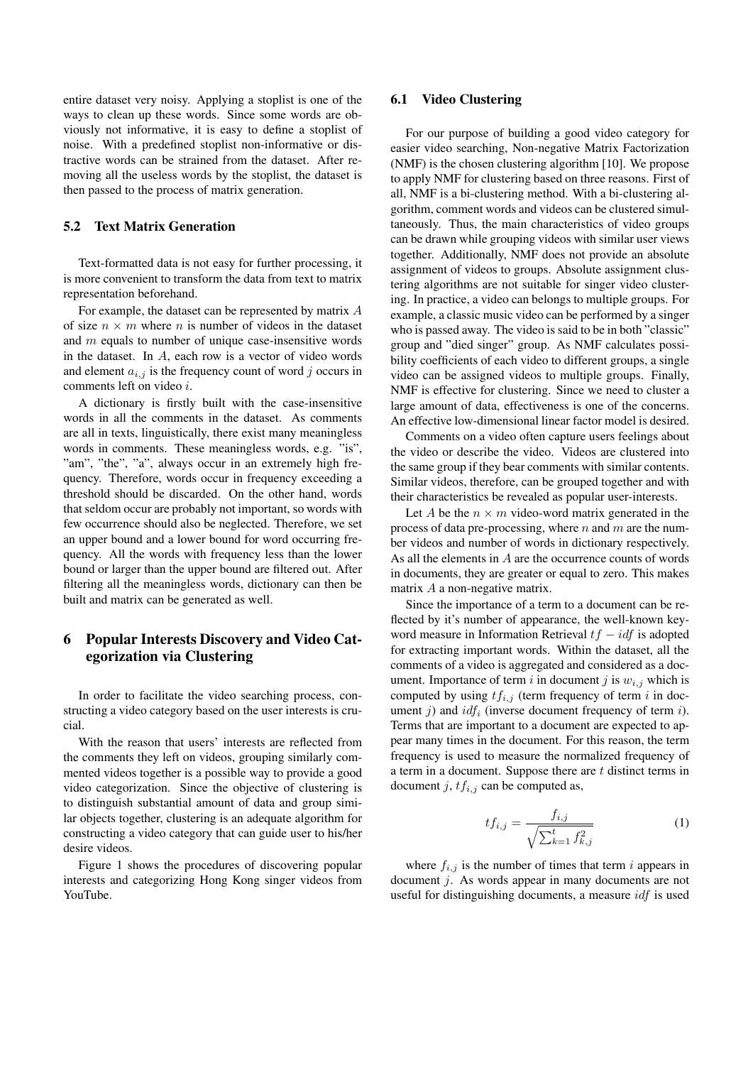entire dataset very noisy. Applying a stoplist is one of the ways to clean up these words. Since some words are obviously not informative, it is easy to define a stoplist of noise. With a predefined stoplist non-informative or distractive words can be strained from the dataset. After removing all the useless words by the stoplist, the dataset is then passed to the process of matrix generation.

### 5.2 Text Matrix Generation

Text-formatted data is not easy for further processing, it is more convenient to transform the data from text to matrix representation beforehand.

For example, the dataset can be represented by matrix A of size  $n \times m$  where n is number of videos in the dataset and m equals to number of unique case-insensitive words in the dataset. In A, each row is a vector of video words and element  $a_{i,j}$  is the frequency count of word j occurs in comments left on video i.

A dictionary is firstly built with the case-insensitive words in all the comments in the dataset. As comments are all in texts, linguistically, there exist many meaningless words in comments. These meaningless words, e.g. "is", "am", "the", "a", always occur in an extremely high frequency. Therefore, words occur in frequency exceeding a threshold should be discarded. On the other hand, words that seldom occur are probably not important, so words with few occurrence should also be neglected. Therefore, we set an upper bound and a lower bound for word occurring frequency. All the words with frequency less than the lower bound or larger than the upper bound are filtered out. After filtering all the meaningless words, dictionary can then be built and matrix can be generated as well.

# 6 Popular Interests Discovery and Video Categorization via Clustering

In order to facilitate the video searching process, constructing a video category based on the user interests is crucial.

With the reason that users' interests are reflected from the comments they left on videos, grouping similarly commented videos together is a possible way to provide a good video categorization. Since the objective of clustering is to distinguish substantial amount of data and group similar objects together, clustering is an adequate algorithm for constructing a video category that can guide user to his/her desire videos.

Figure 1 shows the procedures of discovering popular interests and categorizing Hong Kong singer videos from YouTube.

### 6.1 Video Clustering

For our purpose of building a good video category for easier video searching, Non-negative Matrix Factorization (NMF) is the chosen clustering algorithm [10]. We propose to apply NMF for clustering based on three reasons. First of all, NMF is a bi-clustering method. With a bi-clustering algorithm, comment words and videos can be clustered simultaneously. Thus, the main characteristics of video groups can be drawn while grouping videos with similar user views together. Additionally, NMF does not provide an absolute assignment of videos to groups. Absolute assignment clustering algorithms are not suitable for singer video clustering. In practice, a video can belongs to multiple groups. For example, a classic music video can be performed by a singer who is passed away. The video is said to be in both "classic" group and "died singer" group. As NMF calculates possibility coefficients of each video to different groups, a single video can be assigned videos to multiple groups. Finally, NMF is effective for clustering. Since we need to cluster a large amount of data, effectiveness is one of the concerns. An effective low-dimensional linear factor model is desired.

Comments on a video often capture users feelings about the video or describe the video. Videos are clustered into the same group if they bear comments with similar contents. Similar videos, therefore, can be grouped together and with their characteristics be revealed as popular user-interests.

Let A be the  $n \times m$  video-word matrix generated in the process of data pre-processing, where  $n$  and  $m$  are the number videos and number of words in dictionary respectively. As all the elements in A are the occurrence counts of words in documents, they are greater or equal to zero. This makes matrix A a non-negative matrix.

Since the importance of a term to a document can be reflected by it's number of appearance, the well-known keyword measure in Information Retrieval  $tf - idf$  is adopted for extracting important words. Within the dataset, all the comments of a video is aggregated and considered as a document. Importance of term i in document j is  $w_{i,j}$  which is computed by using  $tf_{i,j}$  (term frequency of term i in document j) and  $idf_i$  (inverse document frequency of term i). Terms that are important to a document are expected to appear many times in the document. For this reason, the term frequency is used to measure the normalized frequency of a term in a document. Suppose there are  $t$  distinct terms in document j,  $tf_{i,j}$  can be computed as,

$$
tf_{i,j} = \frac{f_{i,j}}{\sqrt{\sum_{k=1}^{t} f_{k,j}^2}}
$$
 (1)

where  $f_{i,j}$  is the number of times that term i appears in document *j*. As words appear in many documents are not useful for distinguishing documents, a measure  $\mathcal{U}$  is used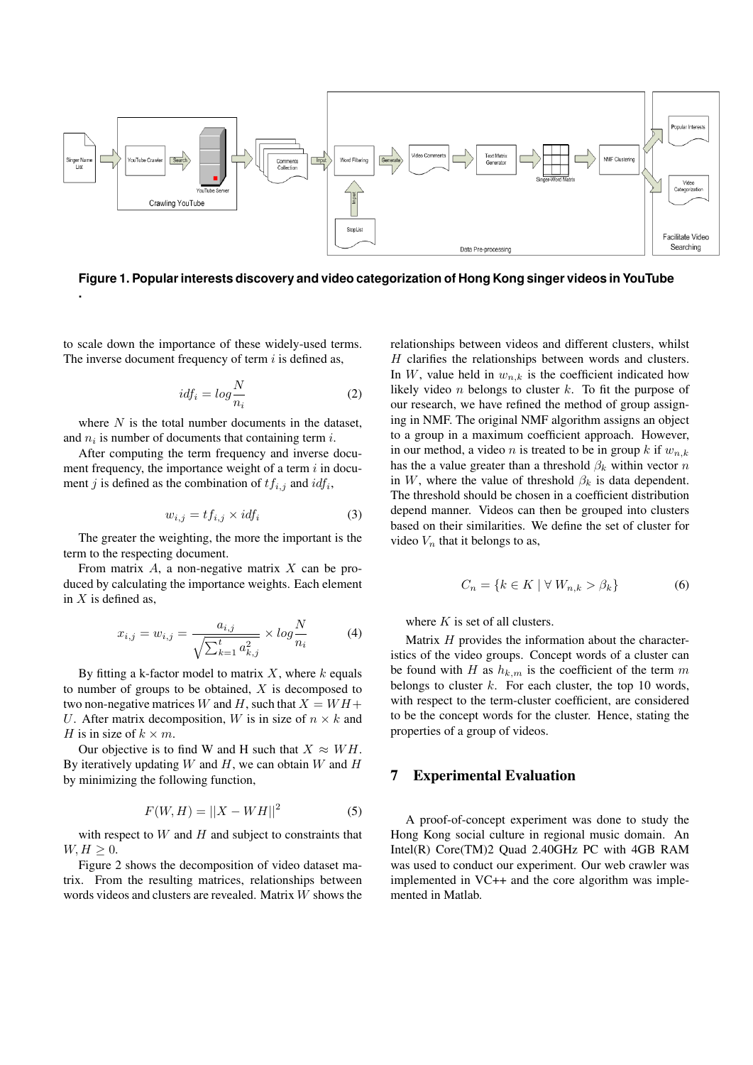

**Figure 1. Popular interests discovery and video categorization of Hong Kong singer videos in YouTube**

to scale down the importance of these widely-used terms. The inverse document frequency of term  $i$  is defined as,

**.**

$$
idf_i = log \frac{N}{n_i} \tag{2}
$$

where  $N$  is the total number documents in the dataset, and  $n_i$  is number of documents that containing term i.

After computing the term frequency and inverse document frequency, the importance weight of a term  $i$  in document j is defined as the combination of  $tf_{i,j}$  and  $idf_i$ ,

$$
w_{i,j} = tf_{i,j} \times idf_i \tag{3}
$$

The greater the weighting, the more the important is the term to the respecting document.

From matrix  $A$ , a non-negative matrix  $X$  can be produced by calculating the importance weights. Each element in  $X$  is defined as,

$$
x_{i,j} = w_{i,j} = \frac{a_{i,j}}{\sqrt{\sum_{k=1}^{t} a_{k,j}^2}} \times \log \frac{N}{n_i}
$$
 (4)

By fitting a k-factor model to matrix  $X$ , where  $k$  equals to number of groups to be obtained,  $X$  is decomposed to two non-negative matrices W and H, such that  $X = WH +$ U. After matrix decomposition, W is in size of  $n \times k$  and H is in size of  $k \times m$ .

Our objective is to find W and H such that  $X \approx WH$ . By iteratively updating  $W$  and  $H$ , we can obtain  $W$  and  $H$ by minimizing the following function,

$$
F(W, H) = ||X - WH||^2
$$
 (5)

with respect to  $W$  and  $H$  and subject to constraints that  $W, H \geq 0.$ 

Figure 2 shows the decomposition of video dataset matrix. From the resulting matrices, relationships between words videos and clusters are revealed. Matrix W shows the relationships between videos and different clusters, whilst  $H$  clarifies the relationships between words and clusters. In W, value held in  $w_{n,k}$  is the coefficient indicated how likely video *n* belongs to cluster  $k$ . To fit the purpose of our research, we have refined the method of group assigning in NMF. The original NMF algorithm assigns an object to a group in a maximum coefficient approach. However, in our method, a video n is treated to be in group k if  $w_{n,k}$ has the a value greater than a threshold  $\beta_k$  within vector n in W, where the value of threshold  $\beta_k$  is data dependent. The threshold should be chosen in a coefficient distribution depend manner. Videos can then be grouped into clusters based on their similarities. We define the set of cluster for video  $V_n$  that it belongs to as,

$$
C_n = \{ k \in K \mid \forall \ W_{n,k} > \beta_k \}
$$
 (6)

where  $K$  is set of all clusters.

Matrix  $H$  provides the information about the characteristics of the video groups. Concept words of a cluster can be found with H as  $h_{k,m}$  is the coefficient of the term m belongs to cluster  $k$ . For each cluster, the top 10 words, with respect to the term-cluster coefficient, are considered to be the concept words for the cluster. Hence, stating the properties of a group of videos.

### 7 Experimental Evaluation

A proof-of-concept experiment was done to study the Hong Kong social culture in regional music domain. An Intel(R) Core(TM)2 Quad 2.40GHz PC with 4GB RAM was used to conduct our experiment. Our web crawler was implemented in VC++ and the core algorithm was implemented in Matlab.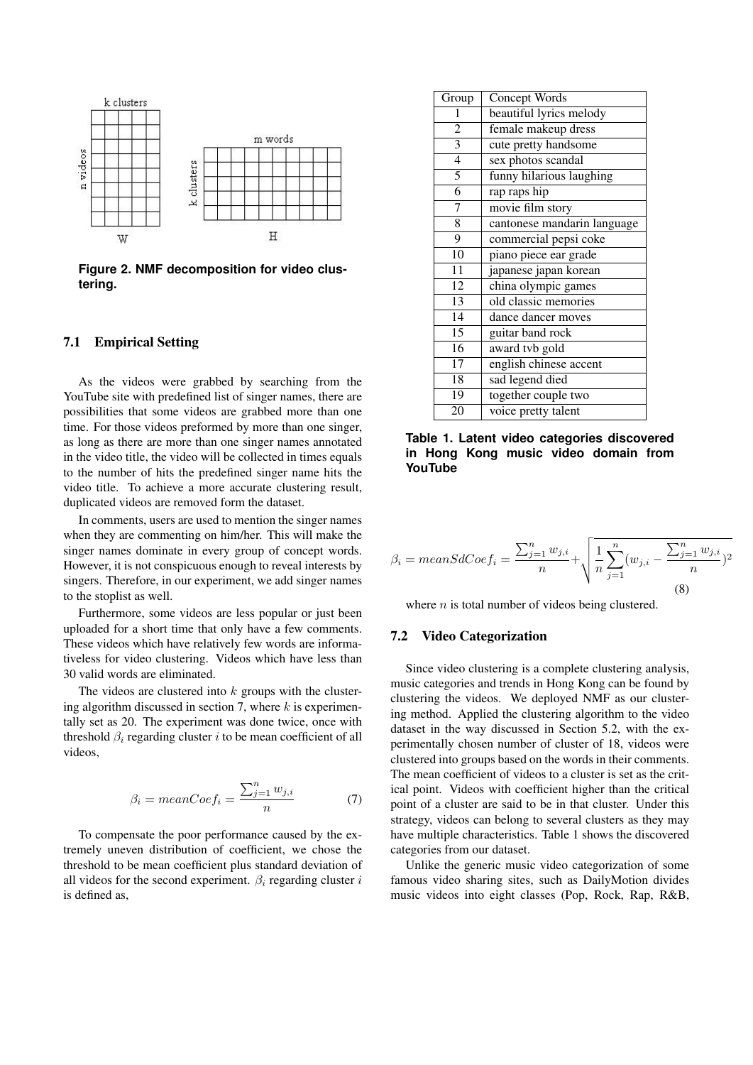

**Figure 2. NMF decomposition for video clustering.**

#### 7.1 Empirical Setting

As the videos were grabbed by searching from the YouTube site with predefined list of singer names, there are possibilities that some videos are grabbed more than one time. For those videos preformed by more than one singer, as long as there are more than one singer names annotated in the video title, the video will be collected in times equals to the number of hits the predefined singer name hits the video title. To achieve a more accurate clustering result, duplicated videos are removed form the dataset.

In comments, users are used to mention the singer names when they are commenting on him/her. This will make the singer names dominate in every group of concept words. However, it is not conspicuous enough to reveal interests by singers. Therefore, in our experiment, we add singer names to the stoplist as well.

Furthermore, some videos are less popular or just been uploaded for a short time that only have a few comments. These videos which have relatively few words are informativeless for video clustering. Videos which have less than 30 valid words are eliminated.

The videos are clustered into  $k$  groups with the clustering algorithm discussed in section 7, where  $k$  is experimentally set as 20. The experiment was done twice, once with threshold  $\beta_i$  regarding cluster i to be mean coefficient of all videos,

$$
\beta_i = meanCoef_i = \frac{\sum_{j=1}^{n} w_{j,i}}{n} \tag{7}
$$

To compensate the poor performance caused by the extremely uneven distribution of coefficient, we chose the threshold to be mean coefficient plus standard deviation of all videos for the second experiment.  $\beta_i$  regarding cluster i is defined as,

| Group           | Concept Words               |  |  |
|-----------------|-----------------------------|--|--|
| 1               | beautiful lyrics melody     |  |  |
| $\overline{2}$  | female makeup dress         |  |  |
| 3               | cute pretty handsome        |  |  |
| $\overline{4}$  | sex photos scandal          |  |  |
| $\overline{5}$  | funny hilarious laughing    |  |  |
| $\overline{6}$  | rap raps hip                |  |  |
| 7               | movie film story            |  |  |
| 8               | cantonese mandarin language |  |  |
| 9               | commercial pepsi coke       |  |  |
| $\overline{10}$ | piano piece ear grade       |  |  |
| $\overline{11}$ | japanese japan korean       |  |  |
| 12              | china olympic games         |  |  |
| $\overline{13}$ | old classic memories        |  |  |
| $\overline{14}$ | dance dancer moves          |  |  |
| $\overline{15}$ | guitar band rock            |  |  |
| $\overline{16}$ | award tvb gold              |  |  |
| 17              | english chinese accent      |  |  |
| 18              | sad legend died             |  |  |
| 19              | together couple two         |  |  |
| 20              | voice pretty talent         |  |  |

**Table 1. Latent video categories discovered in Hong Kong music video domain from YouTube**

$$
\beta_i = meanSdCoef_i = \frac{\sum_{j=1}^n w_{j,i}}{n} + \sqrt{\frac{1}{n} \sum_{j=1}^n (w_{j,i} - \frac{\sum_{j=1}^n w_{j,i}}{n})^2}
$$
\n(8)

where  $n$  is total number of videos being clustered.

#### 7.2 Video Categorization

Since video clustering is a complete clustering analysis, music categories and trends in Hong Kong can be found by clustering the videos. We deployed NMF as our clustering method. Applied the clustering algorithm to the video dataset in the way discussed in Section 5.2, with the experimentally chosen number of cluster of 18, videos were clustered into groups based on the words in their comments. The mean coefficient of videos to a cluster is set as the critical point. Videos with coefficient higher than the critical point of a cluster are said to be in that cluster. Under this strategy, videos can belong to several clusters as they may have multiple characteristics. Table 1 shows the discovered categories from our dataset.

Unlike the generic music video categorization of some famous video sharing sites, such as DailyMotion divides music videos into eight classes (Pop, Rock, Rap, R&B,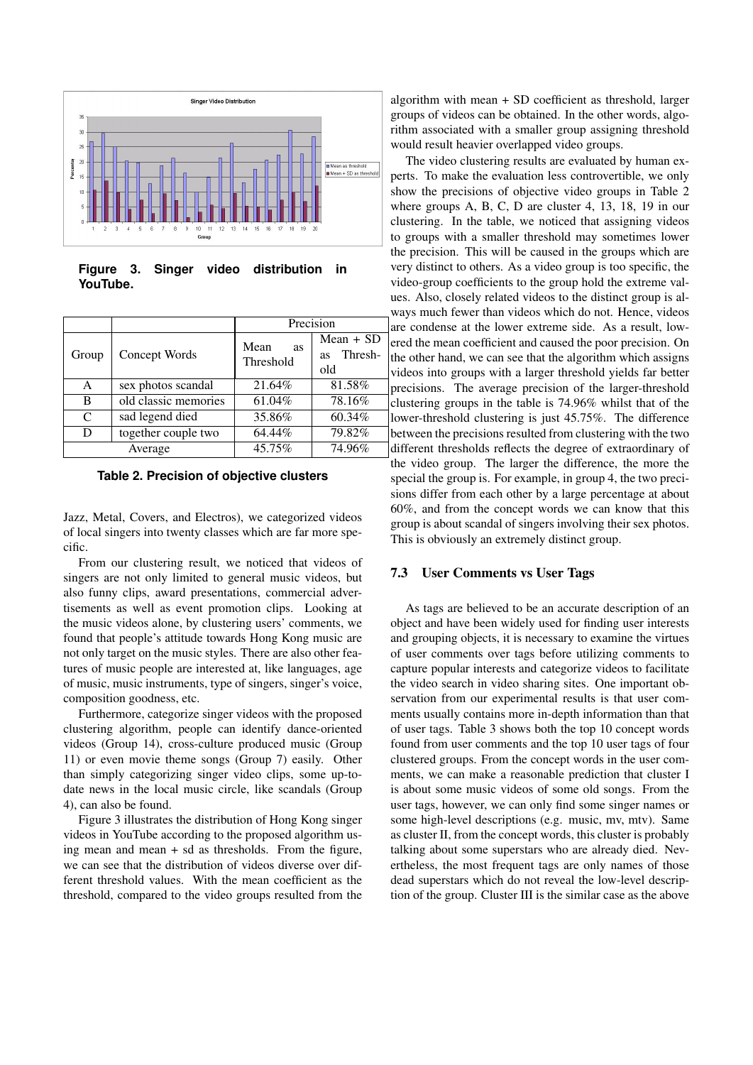

**Figure 3. Singer video distribution in YouTube.**

|               |                      | Precision                      |                                            |  |
|---------------|----------------------|--------------------------------|--------------------------------------------|--|
| Group         | Concept Words        | Mean<br><b>as</b><br>Threshold | Mean $+$ SD<br>Thresh-<br><b>as</b><br>old |  |
| $\mathsf{A}$  | sex photos scandal   | 21.64%                         | 81.58%                                     |  |
| B             | old classic memories | 61.04%                         | 78.16%                                     |  |
| $\mathcal{C}$ | sad legend died      | 35.86%                         | 60.34%                                     |  |
| D             | together couple two  | 64.44%                         | 79.82%                                     |  |
| Average       |                      | 45.75%                         | 74.96%                                     |  |

**Table 2. Precision of objective clusters**

Jazz, Metal, Covers, and Electros), we categorized videos of local singers into twenty classes which are far more specific.

From our clustering result, we noticed that videos of singers are not only limited to general music videos, but also funny clips, award presentations, commercial advertisements as well as event promotion clips. Looking at the music videos alone, by clustering users' comments, we found that people's attitude towards Hong Kong music are not only target on the music styles. There are also other features of music people are interested at, like languages, age of music, music instruments, type of singers, singer's voice, composition goodness, etc.

Furthermore, categorize singer videos with the proposed clustering algorithm, people can identify dance-oriented videos (Group 14), cross-culture produced music (Group 11) or even movie theme songs (Group 7) easily. Other than simply categorizing singer video clips, some up-todate news in the local music circle, like scandals (Group 4), can also be found.

Figure 3 illustrates the distribution of Hong Kong singer videos in YouTube according to the proposed algorithm using mean and mean + sd as thresholds. From the figure, we can see that the distribution of videos diverse over different threshold values. With the mean coefficient as the threshold, compared to the video groups resulted from the algorithm with mean + SD coefficient as threshold, larger groups of videos can be obtained. In the other words, algorithm associated with a smaller group assigning threshold would result heavier overlapped video groups.

The video clustering results are evaluated by human experts. To make the evaluation less controvertible, we only show the precisions of objective video groups in Table 2 where groups A, B, C, D are cluster 4, 13, 18, 19 in our clustering. In the table, we noticed that assigning videos to groups with a smaller threshold may sometimes lower the precision. This will be caused in the groups which are very distinct to others. As a video group is too specific, the video-group coefficients to the group hold the extreme values. Also, closely related videos to the distinct group is always much fewer than videos which do not. Hence, videos are condense at the lower extreme side. As a result, lowered the mean coefficient and caused the poor precision. On the other hand, we can see that the algorithm which assigns videos into groups with a larger threshold yields far better precisions. The average precision of the larger-threshold clustering groups in the table is 74.96% whilst that of the lower-threshold clustering is just 45.75%. The difference between the precisions resulted from clustering with the two different thresholds reflects the degree of extraordinary of the video group. The larger the difference, the more the special the group is. For example, in group 4, the two precisions differ from each other by a large percentage at about 60%, and from the concept words we can know that this group is about scandal of singers involving their sex photos. This is obviously an extremely distinct group.

#### 7.3 User Comments vs User Tags

As tags are believed to be an accurate description of an object and have been widely used for finding user interests and grouping objects, it is necessary to examine the virtues of user comments over tags before utilizing comments to capture popular interests and categorize videos to facilitate the video search in video sharing sites. One important observation from our experimental results is that user comments usually contains more in-depth information than that of user tags. Table 3 shows both the top 10 concept words found from user comments and the top 10 user tags of four clustered groups. From the concept words in the user comments, we can make a reasonable prediction that cluster I is about some music videos of some old songs. From the user tags, however, we can only find some singer names or some high-level descriptions (e.g. music, mv, mtv). Same as cluster II, from the concept words, this cluster is probably talking about some superstars who are already died. Nevertheless, the most frequent tags are only names of those dead superstars which do not reveal the low-level description of the group. Cluster III is the similar case as the above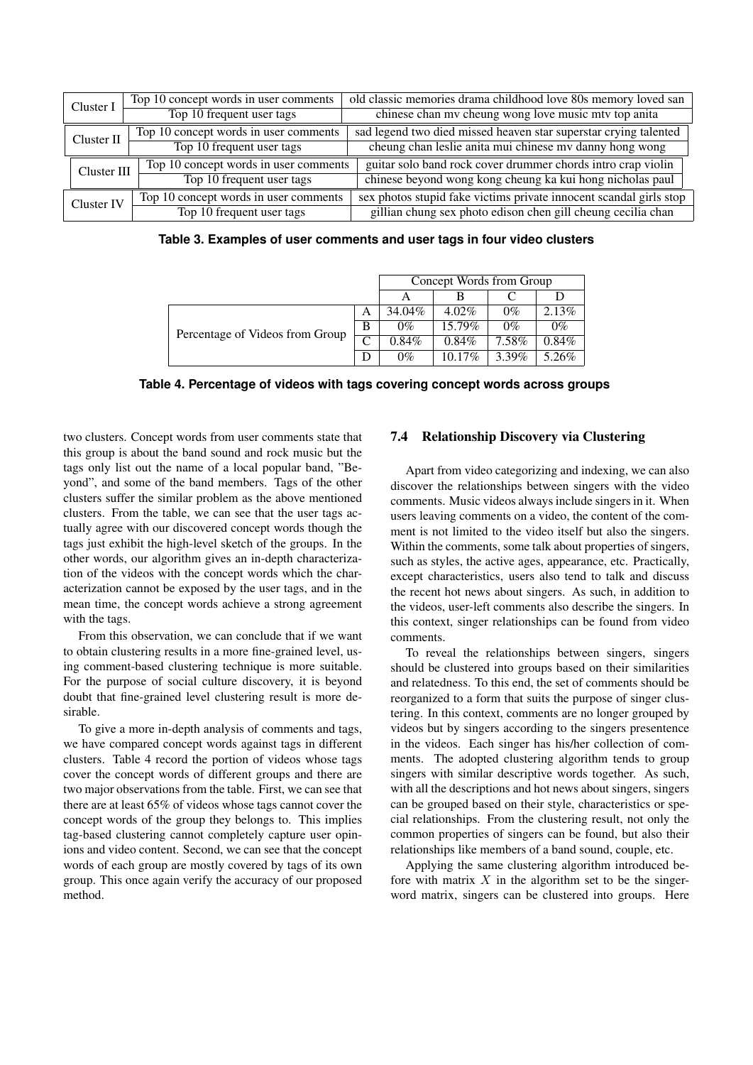| Cluster I   | Top 10 concept words in user comments | old classic memories drama childhood love 80s memory loved san     |  |  |
|-------------|---------------------------------------|--------------------------------------------------------------------|--|--|
|             | Top 10 frequent user tags             | chinese chan mv cheung wong love music mtv top anita               |  |  |
| Cluster II  | Top 10 concept words in user comments | sad legend two died missed heaven star superstar crying talented   |  |  |
|             | Top $10$ frequent user tags           | cheung chan leslie anita mui chinese mv danny hong wong            |  |  |
| Cluster III | Top 10 concept words in user comments | guitar solo band rock cover drummer chords intro crap violin       |  |  |
|             | Top 10 frequent user tags             | chinese beyond wong kong cheung ka kui hong nicholas paul          |  |  |
| Cluster IV  | Top 10 concept words in user comments | sex photos stupid fake victims private innocent scandal girls stop |  |  |
|             | Top 10 frequent user tags             | gillian chung sex photo edison chen gill cheung cecilia chan       |  |  |

**Table 3. Examples of user comments and user tags in four video clusters**

|                                 |          | Concept Words from Group |           |       |          |
|---------------------------------|----------|--------------------------|-----------|-------|----------|
|                                 |          |                          | в         |       |          |
|                                 | А        | 34.04%                   | $4.02\%$  | $0\%$ | 2.13%    |
| Percentage of Videos from Group | B        | $0\%$                    | 15.79%    | $0\%$ | $0\%$    |
|                                 | $\Gamma$ | $0.84\%$                 | $0.84\%$  | 7.58% | $0.84\%$ |
|                                 |          | $0\%$                    | $10.17\%$ | 3.39% | 5.26%    |

**Table 4. Percentage of videos with tags covering concept words across groups**

two clusters. Concept words from user comments state that this group is about the band sound and rock music but the tags only list out the name of a local popular band, "Beyond", and some of the band members. Tags of the other clusters suffer the similar problem as the above mentioned clusters. From the table, we can see that the user tags actually agree with our discovered concept words though the tags just exhibit the high-level sketch of the groups. In the other words, our algorithm gives an in-depth characterization of the videos with the concept words which the characterization cannot be exposed by the user tags, and in the mean time, the concept words achieve a strong agreement with the tags.

From this observation, we can conclude that if we want to obtain clustering results in a more fine-grained level, using comment-based clustering technique is more suitable. For the purpose of social culture discovery, it is beyond doubt that fine-grained level clustering result is more desirable.

To give a more in-depth analysis of comments and tags, we have compared concept words against tags in different clusters. Table 4 record the portion of videos whose tags cover the concept words of different groups and there are two major observations from the table. First, we can see that there are at least 65% of videos whose tags cannot cover the concept words of the group they belongs to. This implies tag-based clustering cannot completely capture user opinions and video content. Second, we can see that the concept words of each group are mostly covered by tags of its own group. This once again verify the accuracy of our proposed method.

### 7.4 Relationship Discovery via Clustering

Apart from video categorizing and indexing, we can also discover the relationships between singers with the video comments. Music videos always include singers in it. When users leaving comments on a video, the content of the comment is not limited to the video itself but also the singers. Within the comments, some talk about properties of singers, such as styles, the active ages, appearance, etc. Practically, except characteristics, users also tend to talk and discuss the recent hot news about singers. As such, in addition to the videos, user-left comments also describe the singers. In this context, singer relationships can be found from video comments.

To reveal the relationships between singers, singers should be clustered into groups based on their similarities and relatedness. To this end, the set of comments should be reorganized to a form that suits the purpose of singer clustering. In this context, comments are no longer grouped by videos but by singers according to the singers presentence in the videos. Each singer has his/her collection of comments. The adopted clustering algorithm tends to group singers with similar descriptive words together. As such, with all the descriptions and hot news about singers, singers can be grouped based on their style, characteristics or special relationships. From the clustering result, not only the common properties of singers can be found, but also their relationships like members of a band sound, couple, etc.

Applying the same clustering algorithm introduced before with matrix  $X$  in the algorithm set to be the singerword matrix, singers can be clustered into groups. Here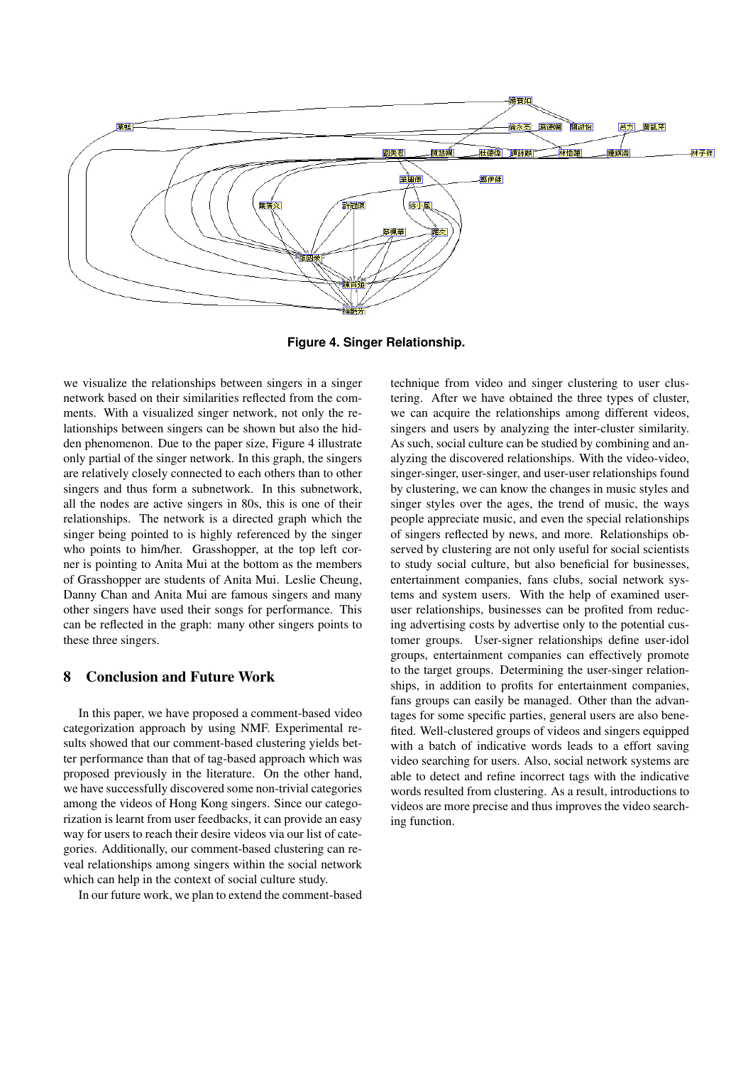

**Figure 4. Singer Relationship.**

we visualize the relationships between singers in a singer network based on their similarities reflected from the comments. With a visualized singer network, not only the relationships between singers can be shown but also the hidden phenomenon. Due to the paper size, Figure 4 illustrate only partial of the singer network. In this graph, the singers are relatively closely connected to each others than to other singers and thus form a subnetwork. In this subnetwork, all the nodes are active singers in 80s, this is one of their relationships. The network is a directed graph which the singer being pointed to is highly referenced by the singer who points to him/her. Grasshopper, at the top left corner is pointing to Anita Mui at the bottom as the members of Grasshopper are students of Anita Mui. Leslie Cheung, Danny Chan and Anita Mui are famous singers and many other singers have used their songs for performance. This can be reflected in the graph: many other singers points to these three singers.

# 8 Conclusion and Future Work

In this paper, we have proposed a comment-based video categorization approach by using NMF. Experimental results showed that our comment-based clustering yields better performance than that of tag-based approach which was proposed previously in the literature. On the other hand, we have successfully discovered some non-trivial categories among the videos of Hong Kong singers. Since our categorization is learnt from user feedbacks, it can provide an easy way for users to reach their desire videos via our list of categories. Additionally, our comment-based clustering can reveal relationships among singers within the social network which can help in the context of social culture study.

In our future work, we plan to extend the comment-based

technique from video and singer clustering to user clustering. After we have obtained the three types of cluster, we can acquire the relationships among different videos, singers and users by analyzing the inter-cluster similarity. As such, social culture can be studied by combining and analyzing the discovered relationships. With the video-video, singer-singer, user-singer, and user-user relationships found by clustering, we can know the changes in music styles and singer styles over the ages, the trend of music, the ways people appreciate music, and even the special relationships of singers reflected by news, and more. Relationships observed by clustering are not only useful for social scientists to study social culture, but also beneficial for businesses, entertainment companies, fans clubs, social network systems and system users. With the help of examined useruser relationships, businesses can be profited from reducing advertising costs by advertise only to the potential customer groups. User-signer relationships define user-idol groups, entertainment companies can effectively promote to the target groups. Determining the user-singer relationships, in addition to profits for entertainment companies, fans groups can easily be managed. Other than the advantages for some specific parties, general users are also benefited. Well-clustered groups of videos and singers equipped with a batch of indicative words leads to a effort saving video searching for users. Also, social network systems are able to detect and refine incorrect tags with the indicative words resulted from clustering. As a result, introductions to videos are more precise and thus improves the video searching function.